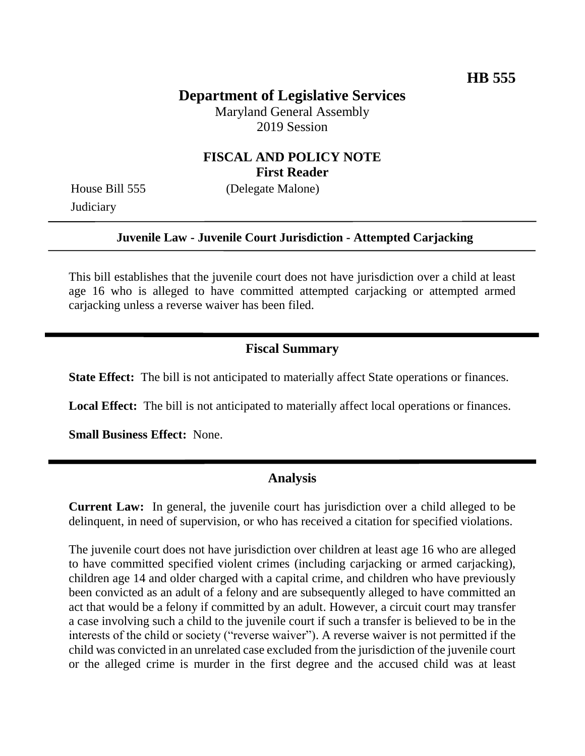## **Department of Legislative Services**

Maryland General Assembly 2019 Session

#### **FISCAL AND POLICY NOTE First Reader**

House Bill 555 (Delegate Malone) **Judiciary** 

# **Juvenile Law - Juvenile Court Jurisdiction - Attempted Carjacking**

This bill establishes that the juvenile court does not have jurisdiction over a child at least age 16 who is alleged to have committed attempted carjacking or attempted armed carjacking unless a reverse waiver has been filed.

#### **Fiscal Summary**

**State Effect:** The bill is not anticipated to materially affect State operations or finances.

**Local Effect:** The bill is not anticipated to materially affect local operations or finances.

**Small Business Effect:** None.

#### **Analysis**

**Current Law:** In general, the juvenile court has jurisdiction over a child alleged to be delinquent, in need of supervision, or who has received a citation for specified violations.

The juvenile court does not have jurisdiction over children at least age 16 who are alleged to have committed specified violent crimes (including carjacking or armed carjacking), children age 14 and older charged with a capital crime, and children who have previously been convicted as an adult of a felony and are subsequently alleged to have committed an act that would be a felony if committed by an adult. However, a circuit court may transfer a case involving such a child to the juvenile court if such a transfer is believed to be in the interests of the child or society ("reverse waiver"). A reverse waiver is not permitted if the child was convicted in an unrelated case excluded from the jurisdiction of the juvenile court or the alleged crime is murder in the first degree and the accused child was at least